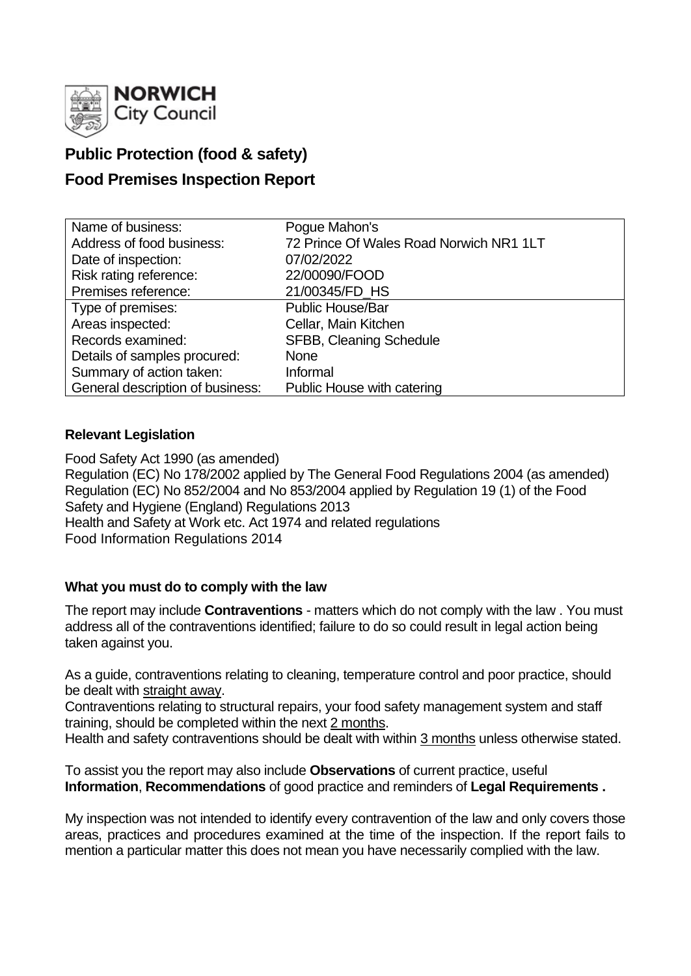

# **Public Protection (food & safety)**

# **Food Premises Inspection Report**

| Name of business:                | Pogue Mahon's                           |
|----------------------------------|-----------------------------------------|
| Address of food business:        | 72 Prince Of Wales Road Norwich NR1 1LT |
| Date of inspection:              | 07/02/2022                              |
| Risk rating reference:           | 22/00090/FOOD                           |
| Premises reference:              | 21/00345/FD HS                          |
| Type of premises:                | <b>Public House/Bar</b>                 |
| Areas inspected:                 | Cellar, Main Kitchen                    |
| Records examined:                | SFBB, Cleaning Schedule                 |
| Details of samples procured:     | <b>None</b>                             |
| Summary of action taken:         | Informal                                |
| General description of business: | Public House with catering              |

## **Relevant Legislation**

Food Safety Act 1990 (as amended) Regulation (EC) No 178/2002 applied by The General Food Regulations 2004 (as amended) Regulation (EC) No 852/2004 and No 853/2004 applied by Regulation 19 (1) of the Food Safety and Hygiene (England) Regulations 2013 Health and Safety at Work etc. Act 1974 and related regulations Food Information Regulations 2014

## **What you must do to comply with the law**

The report may include **Contraventions** - matters which do not comply with the law . You must address all of the contraventions identified; failure to do so could result in legal action being taken against you.

As a guide, contraventions relating to cleaning, temperature control and poor practice, should be dealt with straight away.

Contraventions relating to structural repairs, your food safety management system and staff training, should be completed within the next 2 months.

Health and safety contraventions should be dealt with within 3 months unless otherwise stated.

To assist you the report may also include **Observations** of current practice, useful **Information**, **Recommendations** of good practice and reminders of **Legal Requirements .**

My inspection was not intended to identify every contravention of the law and only covers those areas, practices and procedures examined at the time of the inspection. If the report fails to mention a particular matter this does not mean you have necessarily complied with the law.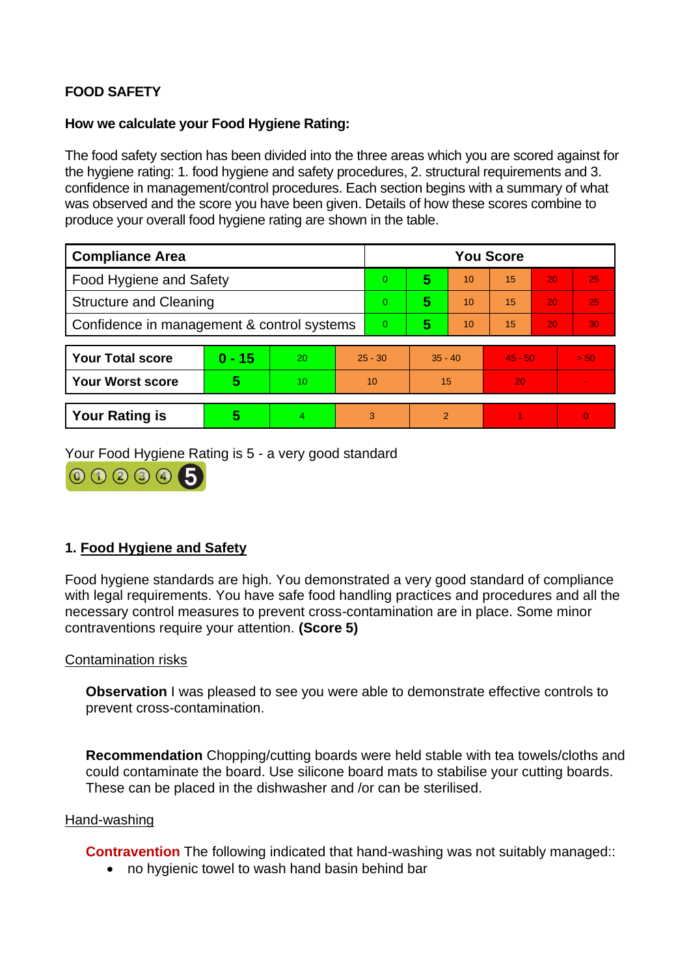# **FOOD SAFETY**

### **How we calculate your Food Hygiene Rating:**

The food safety section has been divided into the three areas which you are scored against for the hygiene rating: 1. food hygiene and safety procedures, 2. structural requirements and 3. confidence in management/control procedures. Each section begins with a summary of what was observed and the score you have been given. Details of how these scores combine to produce your overall food hygiene rating are shown in the table.

| <b>Compliance Area</b>                     |          |    |           | <b>You Score</b> |                |    |           |    |                |  |  |
|--------------------------------------------|----------|----|-----------|------------------|----------------|----|-----------|----|----------------|--|--|
| <b>Food Hygiene and Safety</b>             |          |    |           | $\Omega$         | 5              | 10 | 15        | 20 | 25             |  |  |
| <b>Structure and Cleaning</b>              |          |    | $\Omega$  | 5                | 10             | 15 | 20        | 25 |                |  |  |
| Confidence in management & control systems |          |    | $\Omega$  | 5                | 10             | 15 | 20        | 30 |                |  |  |
|                                            |          |    |           |                  |                |    |           |    |                |  |  |
| <b>Your Total score</b>                    | $0 - 15$ | 20 | $25 - 30$ |                  | $35 - 40$      |    | $45 - 50$ |    | > 50           |  |  |
| <b>Your Worst score</b>                    | 5        | 10 | 10        |                  | 15             |    | 20        |    | $\blacksquare$ |  |  |
|                                            |          |    |           |                  |                |    |           |    |                |  |  |
| <b>Your Rating is</b>                      | 5        | 4  |           | 3                | $\overline{2}$ |    |           |    | $\overline{0}$ |  |  |

Your Food Hygiene Rating is 5 - a very good standard



## **1. Food Hygiene and Safety**

Food hygiene standards are high. You demonstrated a very good standard of compliance with legal requirements. You have safe food handling practices and procedures and all the necessary control measures to prevent cross-contamination are in place. Some minor contraventions require your attention. **(Score 5)**

### Contamination risks

**Observation** I was pleased to see you were able to demonstrate effective controls to prevent cross-contamination.

**Recommendation** Chopping/cutting boards were held stable with tea towels/cloths and could contaminate the board. Use silicone board mats to stabilise your cutting boards. These can be placed in the dishwasher and /or can be sterilised.

#### Hand-washing

**Contravention** The following indicated that hand-washing was not suitably managed::

• no hygienic towel to wash hand basin behind bar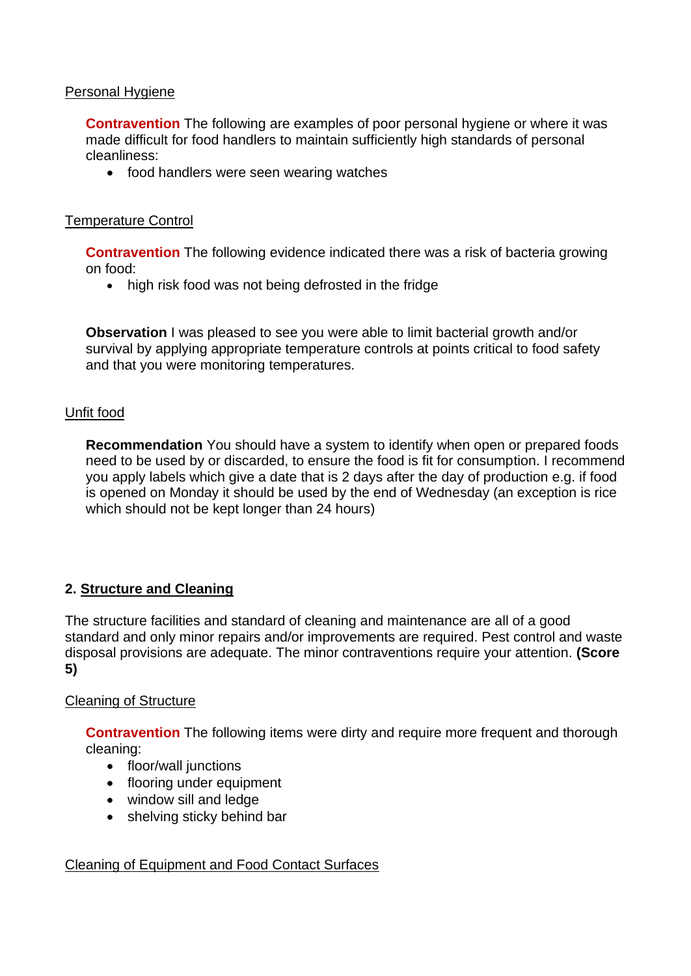### Personal Hygiene

**Contravention** The following are examples of poor personal hygiene or where it was made difficult for food handlers to maintain sufficiently high standards of personal cleanliness:

• food handlers were seen wearing watches

#### Temperature Control

**Contravention** The following evidence indicated there was a risk of bacteria growing on food:

• high risk food was not being defrosted in the fridge

**Observation** I was pleased to see you were able to limit bacterial growth and/or survival by applying appropriate temperature controls at points critical to food safety and that you were monitoring temperatures.

#### Unfit food

**Recommendation** You should have a system to identify when open or prepared foods need to be used by or discarded, to ensure the food is fit for consumption. I recommend you apply labels which give a date that is 2 days after the day of production e.g. if food is opened on Monday it should be used by the end of Wednesday (an exception is rice which should not be kept longer than 24 hours)

### **2. Structure and Cleaning**

The structure facilities and standard of cleaning and maintenance are all of a good standard and only minor repairs and/or improvements are required. Pest control and waste disposal provisions are adequate. The minor contraventions require your attention. **(Score 5)**

#### Cleaning of Structure

**Contravention** The following items were dirty and require more frequent and thorough cleaning:

- floor/wall junctions
- flooring under equipment
- window sill and ledge
- shelving sticky behind bar

### Cleaning of Equipment and Food Contact Surfaces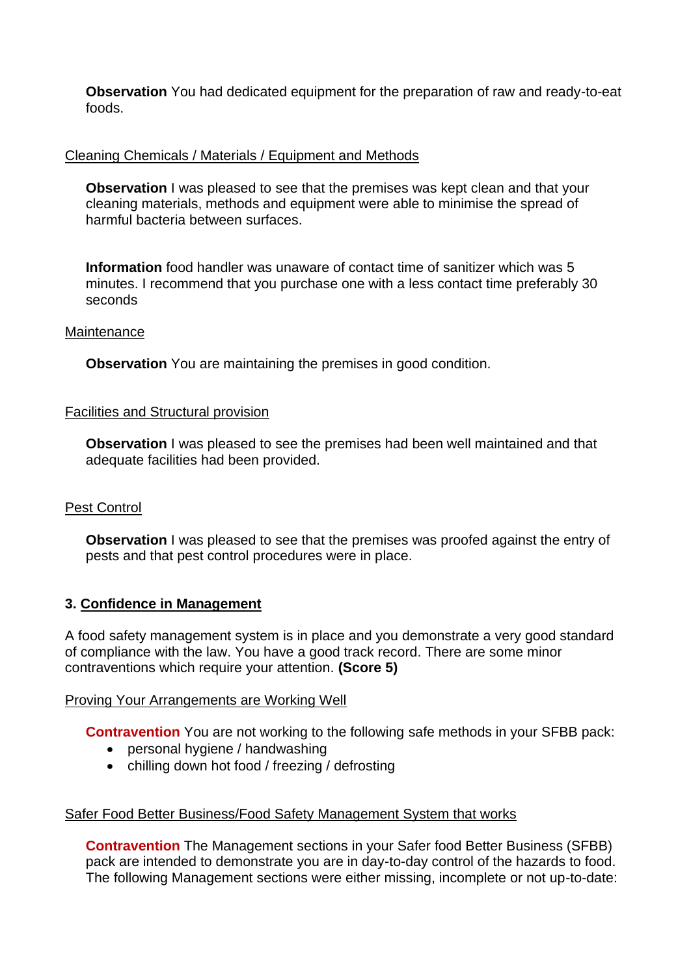**Observation** You had dedicated equipment for the preparation of raw and ready-to-eat foods.

### Cleaning Chemicals / Materials / Equipment and Methods

**Observation** I was pleased to see that the premises was kept clean and that your cleaning materials, methods and equipment were able to minimise the spread of harmful bacteria between surfaces.

**Information** food handler was unaware of contact time of sanitizer which was 5 minutes. I recommend that you purchase one with a less contact time preferably 30 seconds

#### Maintenance

**Observation** You are maintaining the premises in good condition.

#### Facilities and Structural provision

**Observation** I was pleased to see the premises had been well maintained and that adequate facilities had been provided.

### Pest Control

**Observation** I was pleased to see that the premises was proofed against the entry of pests and that pest control procedures were in place.

### **3. Confidence in Management**

A food safety management system is in place and you demonstrate a very good standard of compliance with the law. You have a good track record. There are some minor contraventions which require your attention. **(Score 5)**

#### Proving Your Arrangements are Working Well

**Contravention** You are not working to the following safe methods in your SFBB pack:

- personal hygiene / handwashing
- chilling down hot food / freezing / defrosting

### Safer Food Better Business/Food Safety Management System that works

**Contravention** The Management sections in your Safer food Better Business (SFBB) pack are intended to demonstrate you are in day-to-day control of the hazards to food. The following Management sections were either missing, incomplete or not up-to-date: